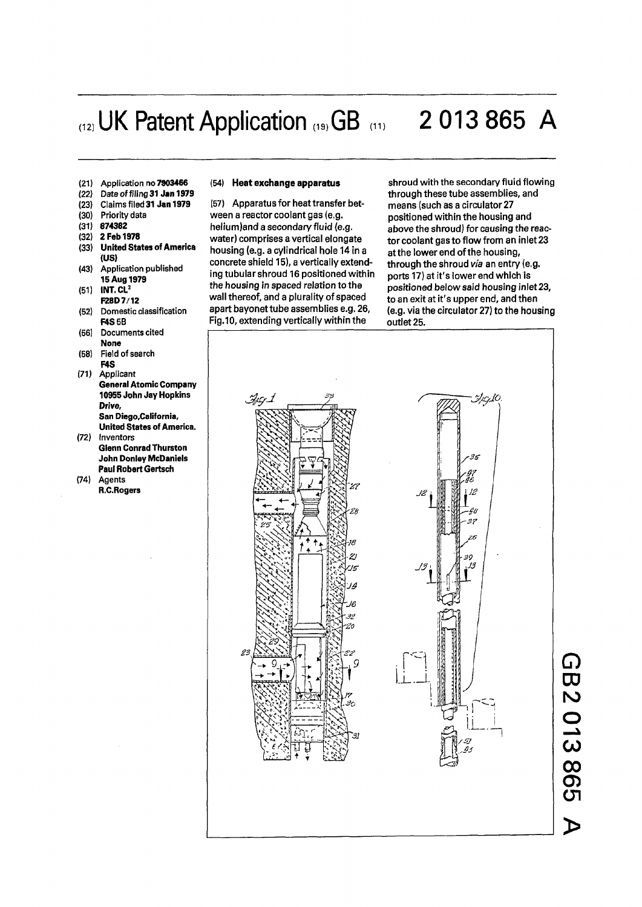# (12) UK Patent Application (19) GB (11) 2 013 865 A

- **(21) Application no 7903466**
- **(22) Date of filing 31 Jan 1979**
- **(23) Claims filed 31 Jan 1979**
- **(30) Priority data**
- **(31) 674362**
- 
- **(32) 2 Feb 1978 (33) United States of America (US)**
- **(43) Application published 15 Aug 1979**
- **(51) INT. CL<sup>2</sup> F28D7/12**
- **(52) Domestic classification F4S5B**
- **(56) Documents cited None**
- **(58) Field of search F4S**
- **(71) Applicant General Atomic Company 10955 John Jay Hopkins Drive, San Diego.California, United States of America.**
- **(72) Inventors Glenn Conrad Thurston John Donley McDaniels**
- **Paul Robert Gertsch (74) Agents R.C.Rogers**

#### **(54) Heat exchange apparatus**

**(57)** Apparatus for heat transfer between a reactor coolant gas (e.g. helium)and a secondary fluid (e.g. water) comprises a vertical elongate housing (e.g. a cylindrical hole 14 in a concrete shield 15), a vertically extending tubular shroud 16 positioned within the housing in spaced relation to the wall thereof, and a plurality of spaced apart bayonet tube assemblies e.g. 26, Fig.10, extending vertically within the

shroud with the secondary fluid flowing through these tube assemblies, and means (such as a circulator 27 positioned within the housing and above the shroud) for causing the reactor coolant gas to flow from an inlet 23 at the lower end of the housing, through the shroud *via* an entry (e.g. ports 17) at it's lower end which is positioned below said housing inlet 23, to an exit at it's upper end, and then (e.g. via the circulator 27) to the housing outlet 25.



*G)*  **CD N > O C O**   ${\bf \omega}$ **O) C J 1 >**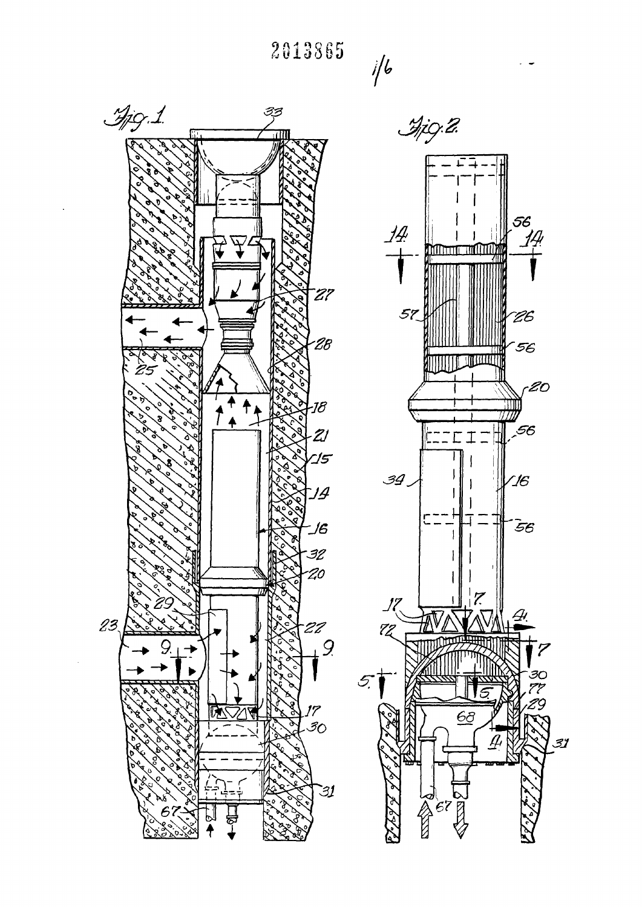**2813865** 

*ft* 



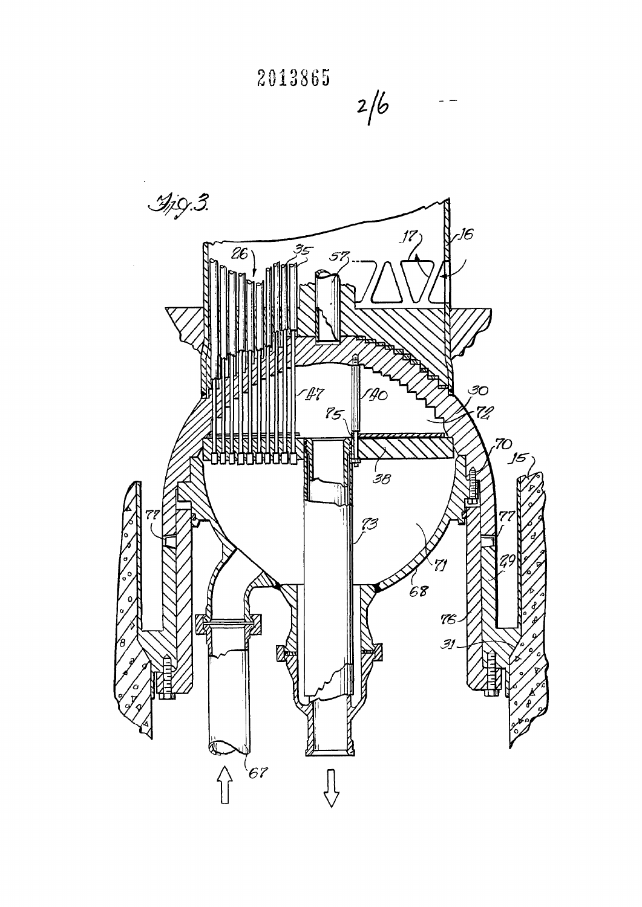



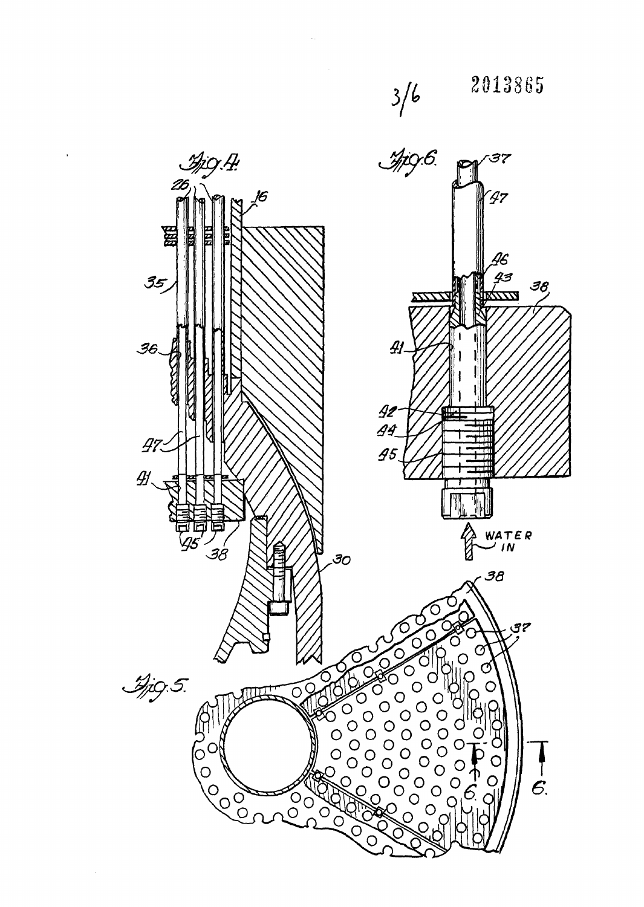

 $\bar{r}$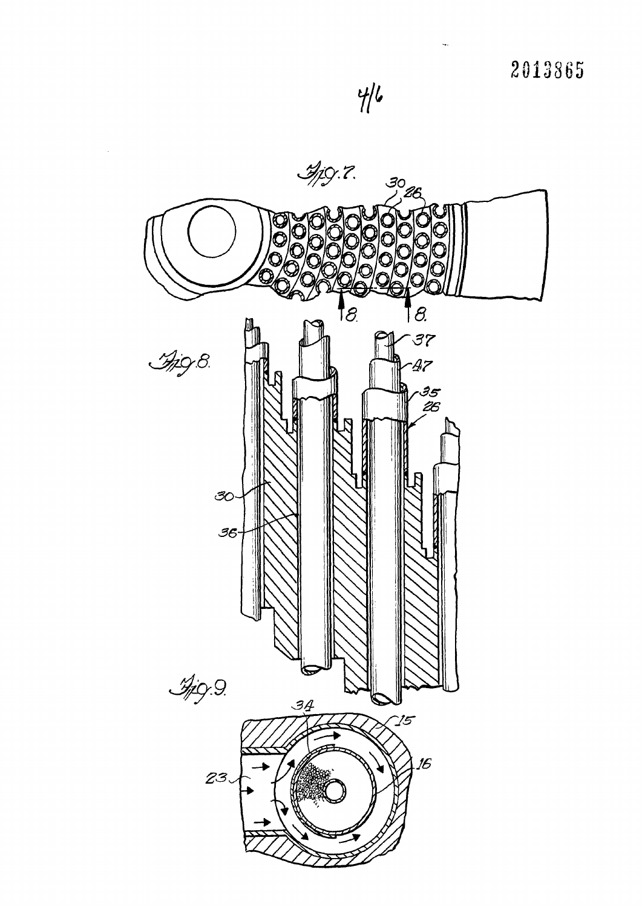

ų,

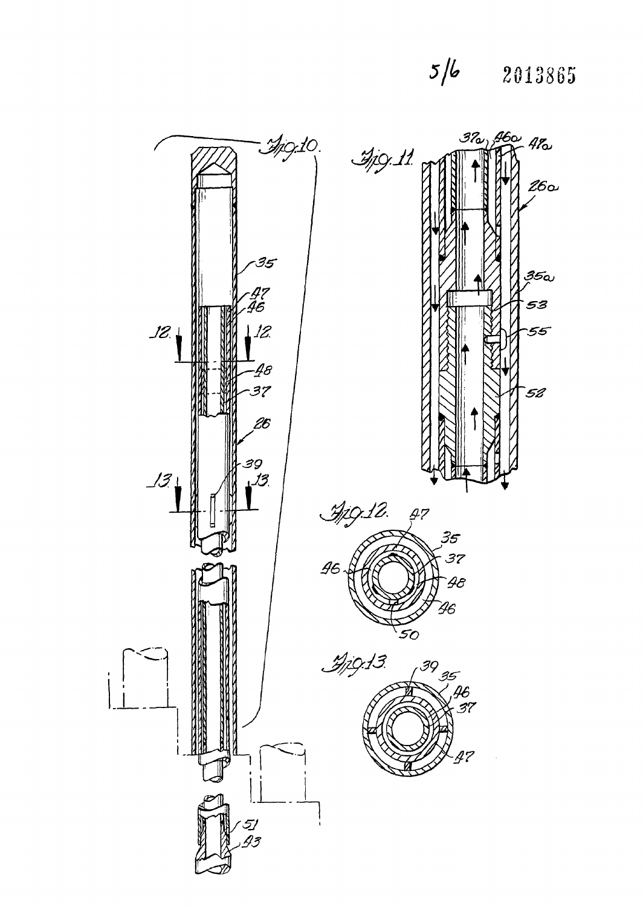# $5/6$  2013865

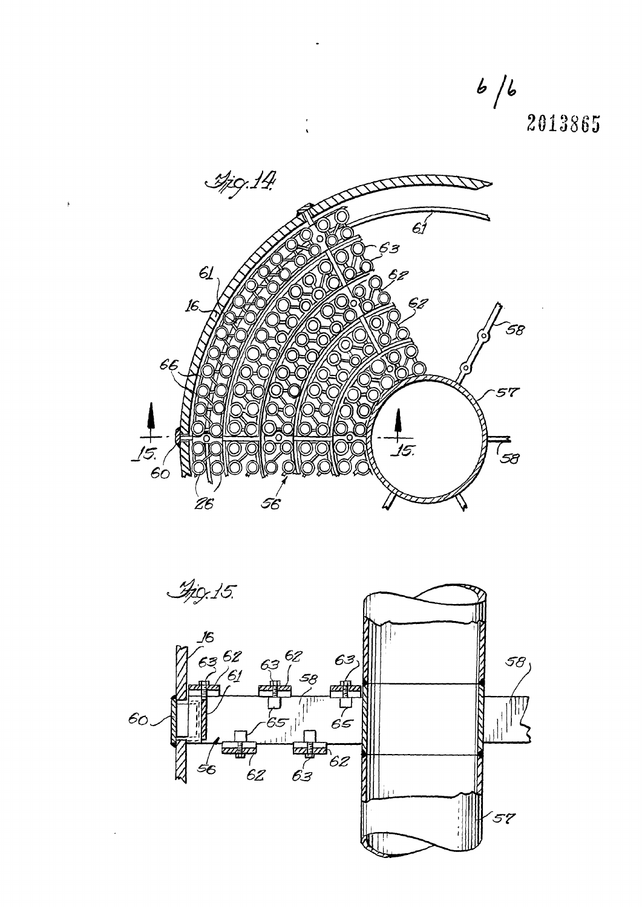*b jt,*  **2013863** 



 $\ddot{\phantom{0}}$ 

 $\frac{1}{\sqrt{2}}$ 

 $\bar{t}$ 

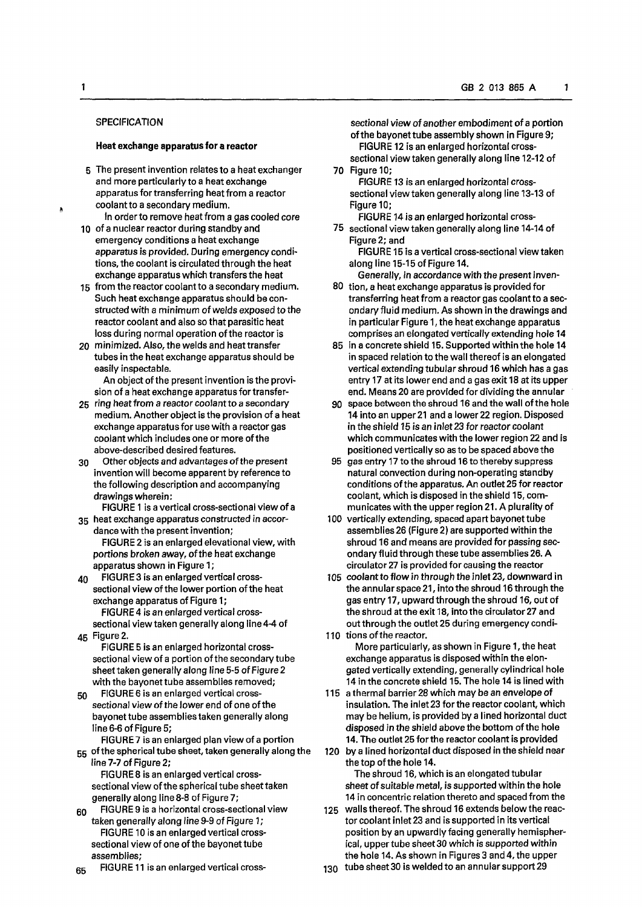# **SPECIFICATION**

### **Heat exchange apparatus for a reactor**

- 5 The present invention relates to a heat exchanger and more particularly to a heat exchange apparatus for transferring heat from a reactor coolant to a secondary medium.
- In order to remove heat from a gas cooled core 10 of a nuclear reactor during standby and emergency conditions a heat exchange apparatus is provided. During emergency conditions, the coolant is circulated through the heat exchange apparatus which transfers the heat
- 15 from the reactor coolant to a secondary medium. Such heat exchange apparatus should be constructed with a minimum of welds exposed to the reactor coolant and also so that parasitic heat loss during normal operation of the reactor is
- 20 minimized. Also, the welds and heat transfer tubes in the heat exchange apparatus should be easily inspectable.
	- An object of the present invention is the provision of a heat exchange apparatus for transfer-
- 25 ring heat from a reactor coolant to a secondary medium. Another object is the provision of a heat exchange apparatus for use with a reactor gas coolant which includes one or more ofthe above-described desired features.
- 30 Other objects and advantages of the present invention will become apparent by reference to the following description and accompanying drawings wherein:
- FIGURE 1 is a vertical cross-sectional view of a 35 heat exchange apparatus constructed *in* accor-
- dance with the present invention; FIGURE 2 is an enlarged elevational view, with portions broken away, of the heat exchange apparatus shown in Figure 1;
- $40$  FIGURE 3 is an enlarged vertical crosssectional view of the lower portion of the heat exchange apparatus of Figure 1; FIGURE 4 is an enlarged vertical cross-

sectional view taken generally along line4-4 of 45 Figure 2.

- FIGURE 5 is an enlarged horizontal crosssectional view of a portion of the secondary tube sheet taken generally along line 5-5 of Figure 2 with the bayonet tube assemblies removed;
- 50 FIGURE 6 is an enlarged vertical crosssectional view of the lower end of one of the bayonet tube assemblies taken generally along line 6-6 of Figure 5;

FIGURE 7 is an enlarged plan view of a portion 55 of the spherical tube sheet, taken generally along the line 7-7 of Figure 2;

FIGURE 8 is an enlarged vertical crosssectional view of the spherical tube sheet taken generally along line 8-8 of Figure 7;

- 60 FIGURE 9 is a horizontal cross-sectional view taken generally along line 9-9 of Figure 1; FIGURE 10 is an enlarged vertical crosssectional view of one of the bayonet tube assemblies;
- 65 FIGURE 11 is an enlarged vertical cross-

sectional view of another embodiment of a portion ofthe bayonet tube assembly shown in Figure 9; FIGURE 12 is an enlarged horizontal crosssectional view taken generally along line 12-12 of

- 70 Figure 10; FIGURE 13 is an enlarged horizontal crosssectional view taken generally along line 13-13 of Figure 10;
	- FIGURE 14 is an enlarged horizontal cross-
- 75 sectional view taken generally along line 14-14 of Figure 2; and

FIGURE 15 is a vertical cross-sectional view taken along line 15-15 of Figure 14.

Generally, in *accordance* with the present inven-80 tion, a heat exchange apparatus is provided for

- transferring heat from a reactor gas coolant to a secondary fluid medium. As shown in the drawings and in particular Figure 1, the heat exchange apparatus comprises an elongated vertically extending hole 14
- 85 in a concrete shield 15. Supported within the hole 14 in spaced relation to the wall thereof is an elongated vertical extending tubular shroud 16 which has a gas entry 17 at its lower end and a gas exit 18 at its upper end. Means 20 are provided for dividing the annular
- 90 space between the shroud 16 and the wall ofthe hole 14 into an upper 21 and a lower 22 region. Disposed in the shield 15 is an inlet 23 for *reactor* coolant which communicates with the lower region 22 and is positioned vertically so as to be spaced above the
- 95 gas entry 17 to the shroud 16 to thereby suppress natural convection during non-operating standby conditions ofthe apparatus. An outlet 25 for reactor coolant, which is disposed in the shield 15, communicates with the upper region 21. A plurality of
- 100 vertically extending, spaced apart bayonet tube assemblies 26 (Figure 2) are supported within the shroud 16 and means are provided for passing secondary fluid through these tube assemblies 26. A circulator 27 is provided for causing the reactor
- 105 coolant to flow in through the inlet 23, downward in the annular space 21, into the shroud 16 through the gas entry 17, upward through the shroud 16, out of the shroud at the exit 18, into the circulator 27 and out through the outlet 25 during emergency condi-110 tions of the reactor.

More particularly, as shown in Figure 1, the heat exchange apparatus is disposed within the elongated vertically extending, generally cylindrical hole 14 in the concrete shield 15. The hole 14 is lined with

- 115 a thermal barrier 28 which may be an envelope of insulation. The inlet 23 for the reactor coolant, which may be helium, is provided by a lined horizontal duct disposed in the shield above the bottom of the hole 14. The outlet 25 for the reactor coolant is provided
- 120 by a lined horizontal duct disposed in the shield near the top of the hole 14. The shroud 16, which is an elongated tubular sheet of suitable metal, is supported within the hole

14 in concentric relation thereto and spaced from the 125 walls thereof. The shroud 16 extends below the reactor coolant inlet 23 and is supported in its vertical

position by an upwardly facing generally hemispherical, upper tube sheet 30 which is supported within the hole 14. As shown in Figures 3 and 4, the upper

130 tube sheet 30 is welded to an annular support 29

À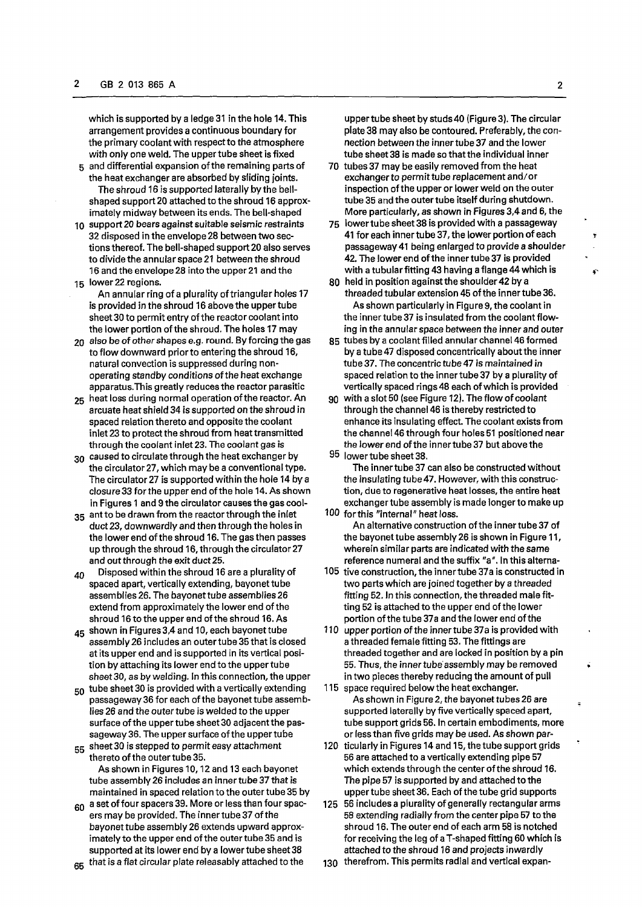which is supported by a ledge 31 in the hole 14. This arrangement provides a continuous boundary for the primary coolant with respect to the atmosphere with only one weld. The upper tube sheet is fixed

- 5 and differential expansion of the remaining parts of the heat exchanger are absorbed by sliding joints. The shroud 16 is supported laterally by the bellshaped support 20 attached to the shroud 16 approximately midway between its ends. The bell-shaped
- 10 support 20 bears against suitable seismic restraints 32 disposed in the envelope 28 between two sections thereof. The bell-shaped support 20 also serves to divide the annular space 21 between the shroud 16 and the envelope 28 into the upper 21 and the 15 lower 22 regions.
- An annular ring of a plurality of triangular holes 17 is provided in the shroud 16 above the upper tube sheet 30 to permit entry of the reactor coolant into the lower portion of the shroud. The holes 17 may
- 20 also be of *other* shapes e.g. round. By forcing the gas to flow downward prior to entering the shroud 16, natural convection is suppressed during nonoperating standby conditions of the heat exchange apparatus.This greatly reduces the reactor parasitic
- 25 heat loss during normal operation of the reactor. An arcuate heat shield 34 is supported on the shroud in spaced relation thereto and opposite the coolant inlet 23 to protect the shroud from heat transmitted through the coolant inlet 23. The coolant gas is
- 30 caused to circulate through the heat exchanger by the circulator 27, which may be a conventional type. The circulator 27 is supported within the hole 14 by a closure 33 for the upper end of the hole 14. As shown in Figures 1 and 9 the circulator causes the gas cool-
- 35 ant to be drawn from the reactor through the inlet duct 23, downwardly and then through the holes in the lower end of the shroud 16. The gas then passes up through the shroud 16, through the circulator 27 and out through the exit duct 25.
- $40$  Disposed within the shroud 16 are a plurality of spaced apart, vertically extending, bayonet tube assemblies 26. The bayonet tube assemblies 26 extend from approximately the lower end of the shroud 16 to the upper end of the shroud 16. As
- 45 shown in Figures 3,4 and 10, each bayonet tube assembly 26 includes an outer tube 35 that is closed at its upper end and is supported in its vertical position by attaching its lower end to the upper tube sheet 30, as by welding. In this connection, the upper  $\frac{1}{2}$  is provided with a vertical lying  $\frac{1}{2}$  is provided with a vertical lying  $\frac{1}{2}$
- part and the bayonet tube assembly and tube assembly passageway 36 for each of the bayonet tube assemblies 26 and the outer tube is welded to the upper surface of the upper tube sheet 30 adjacent the passageway 36. The upper surface of the upper tube sageway 30. The upper surface of the upper tur
- street out is stepped to perform As shown in Figures 10,12 and 13 each bayonet tube assembly 26 includes an inner tube 37 that is maintained in spaced relation to the outer tube 35 by
- $60$  a set of four spacers 39. More or less than four spacers may be provided. The inner tube 37 of the bayonet tube assembly 26 extends upward approximately to the upper end of the outer tube 35 and is supported at its lower end by a lower tube sheet 38
- 65 that is a flat circular plate releasably attached to the

uppertube sheet by studs40 (Figure 3). The circular plate 38 may also be contoured. Preferably, the connection between the inner tube 37 and the lower tube sheet 38 is made so that the individual inner

- 70 tubes 37 may be easily removed from the heat exchanger to permit tube replacement and/or inspection of the upper or lower weld on the outer tube 35 and the outer tube itself during shutdown. More particularly, as shown in Figures 3,4 and 6, the
- 75 lowertube sheet 38 is provided with a passageway 41 for each innertube 37, the lower portion of each passageway 41 being enlarged to provide a shoulder 42. The lower end of the inner tube 37 is provided with a tubular fitting 43 having a flange 44 which is
- 80 held in position against the shoulder 42 by a threaded tubular extension 45 of the inner tube 36. As shown particularly in Figure 9, the coolant in the inner tube 37 is insulated from the coolant flowing in the annular space between the inner and outer
- 85 tubes by a coolant filled annular channel 46 formed by a tube 47 disposed concentrically about the inner tube 37. The concentric tube 47 is maintained in spaced relation to the inner tube 37 by a plurality of vertically spaced rings 48 each of which is provided
- 90 with a slot 50 (see Figure 12). The flow of coolant through the channel 46 is thereby restricted to enhance its insulating effect. The coolant exists from the channel 46 through four holes 51 positioned near the lower end of the innertube 37 but above the
- 95 lowertube sheet 38. The inner tube 37 can also be constructed without the insulating tube47. However, with this construction, due to regenerative heat losses, the entire heat exchanger tube assembly is made longer to make up
- 100 forthis "internal" heat loss. An alternative construction of the inner tube 37 of the bayonet tube assembly 26 is shown in Figure 11, wherein similar parts are indicated with the same reference numeral and the suffix "a". In this alterna-
- 105 tive construction, the inner tube 37a is constructed in two parts which are joined together by a threaded fitting 52. In this connection, the threaded male fitting 52 is attached to the upper end of the lower portion of the tube 37a and the lower end of the
- 110 upper portion of the innertube 37a is provided with a threaded female fitting 53. The fittings are threaded together and are locked in position by a pin 55. Thus, the inner tube assembly may be removed in two pieces thereby reducing the amount of pull
- 115 space required below the heat exchanger. As shown in Figure 2, the bayonet tubes 26 are supported laterally by five vertically spaced apart, tube support grids 56. In certain embodiments, more or less than five grids may be used. As shown par-
- 120 ticularly in Figures 14 and 15, the tube support grids 56 are attached to a vertically extending pipe 57 which extends through the center of the shroud 16. The pipe 57 is supported by and attached to the uppertube sheet 36. Each of the tube grid supports
- 125 56 includes a plurality of generally rectangular arms 58 extending radially from the center pipe 57 to the shroud 16. The outer end of each arm 58 is notched for receiving the leg of a T-shaped fitting 60 which is attached to the shroud 16 and projects inwardly
- 130 therefrom. This permits radial and vertical expan-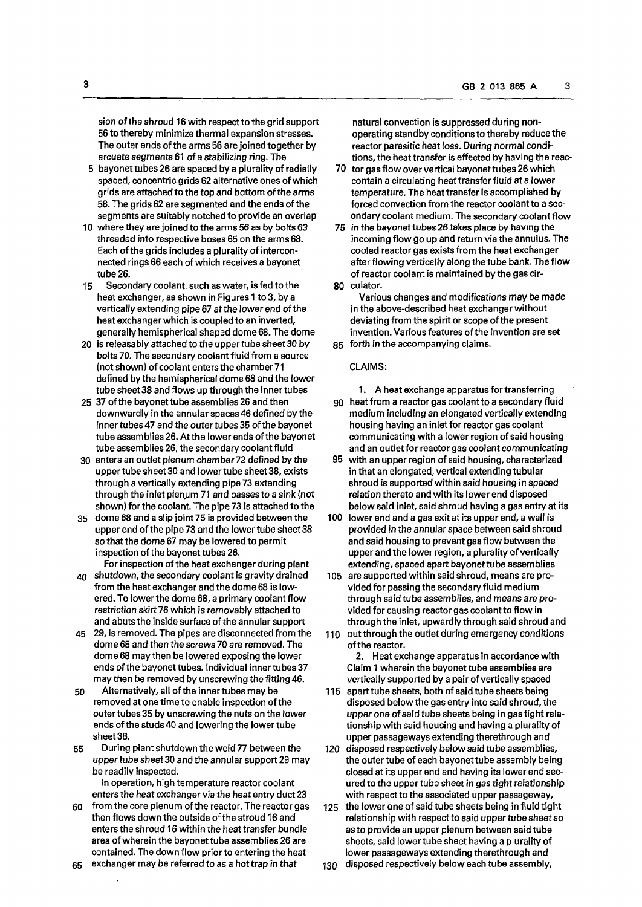sion of the shroud 16 with respect to the grid support 56 to thereby minimize thermal expansion stresses. The outer ends of the arms 56 are joined together by arcuate segments 61 of a stabilizing ring. The

- 5 bayonet tubes 26 are spaced by a plurality of radially spaced, concentric grids 62 alternative ones of which grids are attached to the top and bottom of the arms 58. The grids 62 are segmented and the ends of the segments are suitably notched to provide an overlap
- 10 where they are joined to the arms 56 as by bolts 63 threaded into respective boses 65 on the arms 68. Each of the grids includes a plurality of interconnected rings 66 each of which receives a bayonet tube 26.
- 15 Secondary coolant, such as water, is fed to the heat exchanger, as shown in Figures 1 to 3, by a vertically extending pipe 67 at the lower end of the heat exchanger which is coupled to an inverted, generally hemispherical shaped dome 68. The dome
- 20 is releasably attached to the upper tube sheet 30 by bolts 70. The secondary coolant fluid from a source (not shown) of coolant enters the chamber71 defined by the hemispherical dome 68 and the lower tube sheet 38 and flows up through the inner tubes
- 25 37 of the bayonet tube assemblies 26 and then downwardly in the annular spaces 46 defined by the inner tubes 47 *and* the outer tubes 35 of the bayonet tube assemblies 26. At the lower ends of the bayonet tube assemblies 26, the secondary coolant fluid
- 30 enters an outlet plenum chamber 72 defined by the upper tube sheet 30 and lower tube sheet 38, exists through a vertically extending pipe 73 extending through the inlet plenum 71 and passes to a sink (not shown) for the coolant. The pipe 73 is attached to the
- 35 dome 68 and a slip joint 75 is provided between the upper end of the pipe 73 and the lower tube sheet 38 so that the dome 67 may be lowered to permit inspection of the bayonet tubes 26.

For inspection of the heat exchanger during plant

- 40 shutdown, the secondary coolant is gravity drained from the heat exchanger and the dome 68 is lowered. To lower the dome 68, a primary coolant flow restriction skirt 76 which is removably attached to and abuts the inside surface of the annular support
- 45 29, is removed. The pipes are disconnected from the dome 68 and then the screws 70 are removed. The dome 68 may then be lowered exposing the lower ends of the bayonet tubes. Individual inner tubes 37 may then be removed by unscrewing the fitting 46.
- 50 Alternatively, all of the innertubes may be removed at one time to enable inspection of the outer tubes 35 by unscrewing the nuts on the lower ends of the studs 40 and lowering the lower tube sheet 38.
- 55 During plant shutdown the weld 77 between the *upper tube* sheet 30 and the annular support 29 may be readily inspected.

In operation, high temperature reactor coolant enters the heat exchanger via the heat entry duct 23

60 from the core plenum of the reactor. The reactor gas then flows down the outside of the stroud 16 and enters the shroud 16 within the heat transfer bundle area of wherein the bayonet tube assemblies 26 are contained. The down flow prior to entering the heat

65 exchanger may be referred to as a hot trap in that

natural convection is suppressed during nonoperating standby conditions to thereby reduce the reactor parasitic heat loss. During normal conditions, the heat transfer is effected by having the reac-

- 70 tor gas flow over vertical bayonet tubes 26 which contain a circulating heat transfer fluid at a lower temperature. The heat transfer is accomplished by forced convection from the reactor coolant to a secondary coolant medium. The secondary coolant flow
- 75 in the bayonet tubes 26 takes place by having tne incoming flow go up and return via the annulus. The cooled reactor gas exists from the heat exchanger after flowing vertically along the tube bank. The flow of reactor coolant is maintained by the gas cir-80 culator.

Various changes and modifications may be made in the above-described heat exchanger without deviating from the spirit or scope of the present invention. Various features of the invention are set

85 forth in the accompanying claims.

## CLAIMS:

1. A heat exchange apparatus for transferring 90 heat from a reactor gas coolant to a secondary fluid

- medium including an elongated vertically extending housing having an inlet for reactor gas coolant communicating with a lower region of said housing and an outlet for reactor gas coolant communicating
- 95 with an upper region of said housing, characterized in that an elongated, vertical extending tubular shroud is supported within said housing in spaced relation thereto and with its lower end disposed below said inlet, said shroud having a gas entry at its
- 100 lower end and a gas exit at its upper end, a wall is provided in the annular space between said shroud and said housing to prevent gas flow between the upper and the lower region, a plurality of vertically extending, spaced apart bayonet tube assemblies
- 105 are supported within said shroud, means are provided for passing the secondary fluid medium through said tube assemblies, and means *are* provided for causing reactor gas coolant to flow in through the inlet, upwardly through said shroud and
- 110 out through the outlet during emergency conditions of the reactor.

2. Heat exchange apparatus in accordance with Claim 1 wherein the bayonet tube assemblies are vertically supported by a pair of vertically spaced

- 115 apart tube sheets, both of said tube sheets being disposed below the gas entry into said shroud, the upper one of said tube sheets being in gas tight relationship with said housing and having a plurality of upper passageways extending therethrough and
- 120 disposed respectively below said tube assemblies, the outer tube of each bayonet tube assembly being closed at its upper end and having its lower end secured to the upper tube sheet in gas tight relationship with respect to the associated upper passageway,
- 125 the lower one of said tube sheets being in fluid tight relationship with respect to said upper tube sheet so as to provide an upper plenum between said tube sheets, said lower tube sheet having a plurality of lower passageways extending therethrough and
- 130 disposed respectively below each tube assembly,